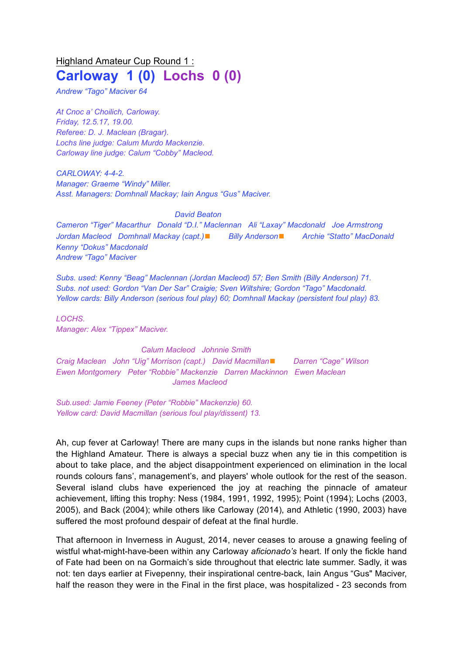# Highland Amateur Cup Round 1 : **Carloway 1 (0) Lochs 0 (0)**

*Andrew "Tago" Maciver 64*

*At Cnoc a' Choilich, Carloway. Friday, 12.5.17, 19.00. Referee: D. J. Maclean (Bragar). Lochs line judge: Calum Murdo Mackenzie. Carloway line judge: Calum "Cobby" Macleod.*

*CARLOWAY: 4-4-2. Manager: Graeme "Windy" Miller. Asst. Managers: Domhnall Mackay; Iain Angus "Gus" Maciver.*

#### *David Beaton*

*Cameron "Tiger" Macarthur Donald "D.I." Maclennan Ali "Laxay" Macdonald Joe Armstrong Jordan Macleod Domhnall Mackay (capt.)*◼ *Billy Anderson*◼ *Archie "Statto" MacDonald Kenny "Dokus" Macdonald Andrew "Tago" Maciver*

*Subs. used: Kenny "Beag" Maclennan (Jordan Macleod) 57; Ben Smith (Billy Anderson) 71. Subs. not used: Gordon "Van Der Sar" Craigie; Sven Wiltshire; Gordon "Tago" Macdonald. Yellow cards: Billy Anderson (serious foul play) 60; Domhnall Mackay (persistent foul play) 83.*

*LOCHS. Manager: Alex "Tippex" Maciver.*

### *Calum Macleod Johnnie Smith*

*Craig Maclean John "Uig" Morrison (capt.) David Macmillan*◼ *Darren "Cage" Wilson Ewen Montgomery Peter "Robbie" Mackenzie Darren Mackinnon Ewen Maclean James Macleod*

*Sub.used: Jamie Feeney (Peter "Robbie" Mackenzie) 60. Yellow card: David Macmillan (serious foul play/dissent) 13.*

Ah, cup fever at Carloway! There are many cups in the islands but none ranks higher than the Highland Amateur. There is always a special buzz when any tie in this competition is about to take place, and the abject disappointment experienced on elimination in the local rounds colours fans', management's, and players' whole outlook for the rest of the season. Several island clubs have experienced the joy at reaching the pinnacle of amateur achievement, lifting this trophy: Ness (1984, 1991, 1992, 1995); Point (1994); Lochs (2003, 2005), and Back (2004); while others like Carloway (2014), and Athletic (1990, 2003) have suffered the most profound despair of defeat at the final hurdle.

That afternoon in Inverness in August, 2014, never ceases to arouse a gnawing feeling of wistful what-might-have-been within any Carloway *aficionado's* heart. If only the fickle hand of Fate had been on na Gormaich's side throughout that electric late summer. Sadly, it was not: ten days earlier at Fivepenny, their inspirational centre-back, Iain Angus "Gus" Maciver, half the reason they were in the Final in the first place, was hospitalized - 23 seconds from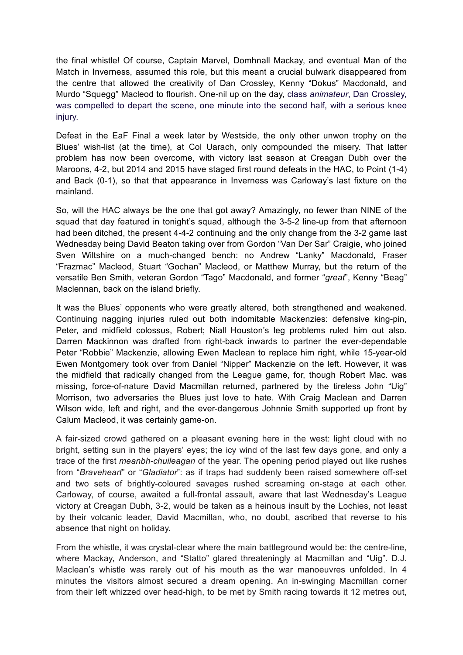the final whistle! Of course, Captain Marvel, Domhnall Mackay, and eventual Man of the Match in Inverness, assumed this role, but this meant a crucial bulwark disappeared from the centre that allowed the creativity of Dan Crossley, Kenny "Dokus" Macdonald, and Murdo "Squegg" Macleod to flourish. One-nil up on the day, class *animateur*, Dan Crossley, was compelled to depart the scene, one minute into the second half, with a serious knee injury.

Defeat in the EaF Final a week later by Westside, the only other unwon trophy on the Blues' wish-list (at the time), at Col Uarach, only compounded the misery. That latter problem has now been overcome, with victory last season at Creagan Dubh over the Maroons, 4-2, but 2014 and 2015 have staged first round defeats in the HAC, to Point (1-4) and Back (0-1), so that that appearance in Inverness was Carloway's last fixture on the mainland.

So, will the HAC always be the one that got away? Amazingly, no fewer than NINE of the squad that day featured in tonight's squad, although the 3-5-2 line-up from that afternoon had been ditched, the present 4-4-2 continuing and the only change from the 3-2 game last Wednesday being David Beaton taking over from Gordon "Van Der Sar" Craigie, who joined Sven Wiltshire on a much-changed bench: no Andrew "Lanky" Macdonald, Fraser "Frazmac" Macleod, Stuart "Gochan" Macleod, or Matthew Murray, but the return of the versatile Ben Smith, veteran Gordon "Tago" Macdonald, and former "*great*", Kenny "Beag" Maclennan, back on the island briefly.

It was the Blues' opponents who were greatly altered, both strengthened and weakened. Continuing nagging injuries ruled out both indomitable Mackenzies: defensive king-pin, Peter, and midfield colossus, Robert; Niall Houston's leg problems ruled him out also. Darren Mackinnon was drafted from right-back inwards to partner the ever-dependable Peter "Robbie" Mackenzie, allowing Ewen Maclean to replace him right, while 15-year-old Ewen Montgomery took over from Daniel "Nipper" Mackenzie on the left. However, it was the midfield that radically changed from the League game, for, though Robert Mac. was missing, force-of-nature David Macmillan returned, partnered by the tireless John "Uig" Morrison, two adversaries the Blues just love to hate. With Craig Maclean and Darren Wilson wide, left and right, and the ever-dangerous Johnnie Smith supported up front by Calum Macleod, it was certainly game-on.

A fair-sized crowd gathered on a pleasant evening here in the west: light cloud with no bright, setting sun in the players' eyes; the icy wind of the last few days gone, and only a trace of the first *meanbh-chuileagan* of the year. The opening period played out like rushes from "*Braveheart*" or "*Gladiator*": as if traps had suddenly been raised somewhere off-set and two sets of brightly-coloured savages rushed screaming on-stage at each other. Carloway, of course, awaited a full-frontal assault, aware that last Wednesday's League victory at Creagan Dubh, 3-2, would be taken as a heinous insult by the Lochies, not least by their volcanic leader, David Macmillan, who, no doubt, ascribed that reverse to his absence that night on holiday.

From the whistle, it was crystal-clear where the main battleground would be: the centre-line, where Mackay, Anderson, and "Statto" glared threateningly at Macmillan and "Uig". D.J. Maclean's whistle was rarely out of his mouth as the war manoeuvres unfolded. In 4 minutes the visitors almost secured a dream opening. An in-swinging Macmillan corner from their left whizzed over head-high, to be met by Smith racing towards it 12 metres out,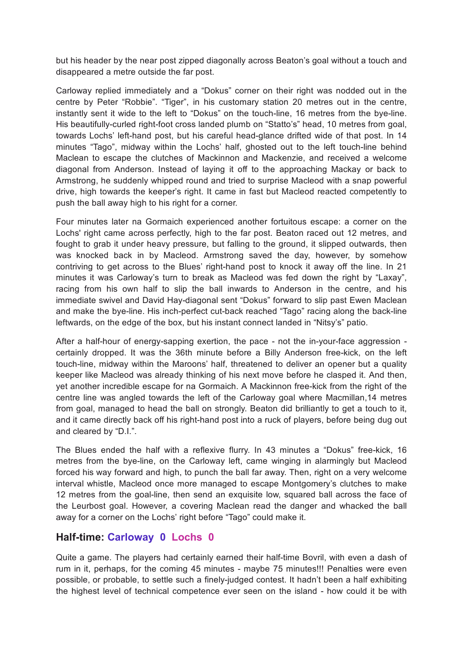but his header by the near post zipped diagonally across Beaton's goal without a touch and disappeared a metre outside the far post.

Carloway replied immediately and a "Dokus" corner on their right was nodded out in the centre by Peter "Robbie". "Tiger", in his customary station 20 metres out in the centre, instantly sent it wide to the left to "Dokus" on the touch-line, 16 metres from the bye-line. His beautifully-curled right-foot cross landed plumb on "Statto's" head, 10 metres from goal, towards Lochs' left-hand post, but his careful head-glance drifted wide of that post. In 14 minutes "Tago", midway within the Lochs' half, ghosted out to the left touch-line behind Maclean to escape the clutches of Mackinnon and Mackenzie, and received a welcome diagonal from Anderson. Instead of laying it off to the approaching Mackay or back to Armstrong, he suddenly whipped round and tried to surprise Macleod with a snap powerful drive, high towards the keeper's right. It came in fast but Macleod reacted competently to push the ball away high to his right for a corner.

Four minutes later na Gormaich experienced another fortuitous escape: a corner on the Lochs' right came across perfectly, high to the far post. Beaton raced out 12 metres, and fought to grab it under heavy pressure, but falling to the ground, it slipped outwards, then was knocked back in by Macleod. Armstrong saved the day, however, by somehow contriving to get across to the Blues' right-hand post to knock it away off the line. In 21 minutes it was Carloway's turn to break as Macleod was fed down the right by "Laxay", racing from his own half to slip the ball inwards to Anderson in the centre, and his immediate swivel and David Hay-diagonal sent "Dokus" forward to slip past Ewen Maclean and make the bye-line. His inch-perfect cut-back reached "Tago" racing along the back-line leftwards, on the edge of the box, but his instant connect landed in "Nitsy's" patio.

After a half-hour of energy-sapping exertion, the pace - not the in-your-face aggression certainly dropped. It was the 36th minute before a Billy Anderson free-kick, on the left touch-line, midway within the Maroons' half, threatened to deliver an opener but a quality keeper like Macleod was already thinking of his next move before he clasped it. And then, yet another incredible escape for na Gormaich. A Mackinnon free-kick from the right of the centre line was angled towards the left of the Carloway goal where Macmillan,14 metres from goal, managed to head the ball on strongly. Beaton did brilliantly to get a touch to it, and it came directly back off his right-hand post into a ruck of players, before being dug out and cleared by "D.I.".

The Blues ended the half with a reflexive flurry. In 43 minutes a "Dokus" free-kick, 16 metres from the bye-line, on the Carloway left, came winging in alarmingly but Macleod forced his way forward and high, to punch the ball far away. Then, right on a very welcome interval whistle, Macleod once more managed to escape Montgomery's clutches to make 12 metres from the goal-line, then send an exquisite low, squared ball across the face of the Leurbost goal. However, a covering Maclean read the danger and whacked the ball away for a corner on the Lochs' right before "Tago" could make it.

### **Half-time: Carloway 0 Lochs 0**

Quite a game. The players had certainly earned their half-time Bovril, with even a dash of rum in it, perhaps, for the coming 45 minutes - maybe 75 minutes!!! Penalties were even possible, or probable, to settle such a finely-judged contest. It hadn't been a half exhibiting the highest level of technical competence ever seen on the island - how could it be with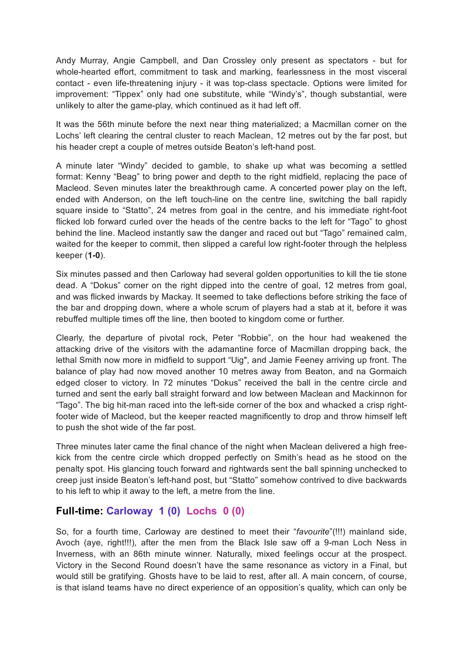Andy Murray, Angie Campbell, and Dan Crossley only present as spectators - but for whole-hearted effort, commitment to task and marking, fearlessness in the most visceral contact - even life-threatening injury - it was top-class spectacle. Options were limited for improvement: "Tippex" only had one substitute, while "Windy's", though substantial, were unlikely to alter the game-play, which continued as it had left off.

It was the 56th minute before the next near thing materialized; a Macmillan corner on the Lochs' left clearing the central cluster to reach Maclean, 12 metres out by the far post, but his header crept a couple of metres outside Beaton's left-hand post.

A minute later "Windy" decided to gamble, to shake up what was becoming a settled format: Kenny "Beag" to bring power and depth to the right midfield, replacing the pace of Macleod. Seven minutes later the breakthrough came. A concerted power play on the left, ended with Anderson, on the left touch-line on the centre line, switching the ball rapidly square inside to "Statto", 24 metres from goal in the centre, and his immediate right-foot flicked lob forward curled over the heads of the centre backs to the left for "Tago" to ghost behind the line. Macleod instantly saw the danger and raced out but "Tago" remained calm, waited for the keeper to commit, then slipped a careful low right-footer through the helpless keeper (**1-0**).

Six minutes passed and then Carloway had several golden opportunities to kill the tie stone dead. A "Dokus" corner on the right dipped into the centre of goal, 12 metres from goal, and was flicked inwards by Mackay. It seemed to take deflections before striking the face of the bar and dropping down, where a whole scrum of players had a stab at it, before it was rebuffed multiple times off the line, then booted to kingdom come or further.

Clearly, the departure of pivotal rock, Peter "Robbie", on the hour had weakened the attacking drive of the visitors with the adamantine force of Macmillan dropping back, the lethal Smith now more in midfield to support "Uig", and Jamie Feeney arriving up front. The balance of play had now moved another 10 metres away from Beaton, and na Gormaich edged closer to victory. In 72 minutes "Dokus" received the ball in the centre circle and turned and sent the early ball straight forward and low between Maclean and Mackinnon for "Tago". The big hit-man raced into the left-side corner of the box and whacked a crisp rightfooter wide of Macleod, but the keeper reacted magnificently to drop and throw himself left to push the shot wide of the far post.

Three minutes later came the final chance of the night when Maclean delivered a high freekick from the centre circle which dropped perfectly on Smith's head as he stood on the penalty spot. His glancing touch forward and rightwards sent the ball spinning unchecked to creep just inside Beaton's left-hand post, but "Statto" somehow contrived to dive backwards to his left to whip it away to the left, a metre from the line.

## **Full-time: Carloway 1 (0) Lochs 0 (0)**

So, for a fourth time, Carloway are destined to meet their "*favourite*"(!!!) mainland side, Avoch (aye, right!!!), after the men from the Black Isle saw off a 9-man Loch Ness in Inverness, with an 86th minute winner. Naturally, mixed feelings occur at the prospect. Victory in the Second Round doesn't have the same resonance as victory in a Final, but would still be gratifying. Ghosts have to be laid to rest, after all. A main concern, of course, is that island teams have no direct experience of an opposition's quality, which can only be